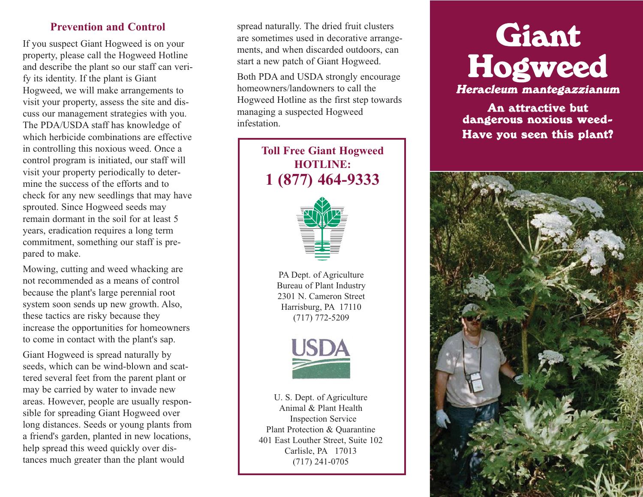## **Prevention and Control**

If you suspect Giant Hogweed is on your property, please call the Hogweed Hotline and describe the plant so our staff can verify its identity. If the plant is Giant Hogweed, we will make arrangements to visit your property, assess the site and discuss our management strategies with you. The PDA/USDA staff has knowledge of which herbicide combinations are effective in controlling this noxious weed. Once a control program is initiated, our staff will visit your property periodically to determine the success of the efforts and to check for any new seedlings that may have sprouted. Since Hogweed seeds may remain dormant in the soil for at least 5 years, eradication requires a long term commitment, something our staff is prepared to make.

Mowing, cutting and weed whacking are not recommended as a means of control because the plant's large perennial root system soon sends up new growth. Also, these tactics are risky because they increase the opportunities for homeowners to come in contact with the plant's sap.

Giant Hogweed is spread naturally by seeds, which can be wind-blown and scattered several feet from the parent plant or may be carried by water to invade new areas. However, people are usually responsible for spreading Giant Hogweed over long distances. Seeds or young plants from a friend's garden, planted in new locations, help spread this weed quickly over distances much greater than the plant would

spread naturally. The dried fruit clusters are sometimes used in decorative arrangements, and when discarded outdoors, can start a new patch of Giant Hogweed.

Both PDA and USDA strongly encourage homeowners/landowners to call the Hogweed Hotline as the first step towards managing a suspected Hogweed infestation.

> **Toll Free Giant Hogweed HOTLINE: 1 (877) 464-9333**



PA Dept. of Agriculture Bureau of Plant Industry 2301 N. Cameron Street Harrisburg, PA 17110 (717) 772-5209



U. S. Dept. of Agriculture Animal & Plant Health Inspection Service Plant Protection & Quarantine 401 East Louther Street, Suite 102 Carlisle, PA 17013 (717) 241-0705

# Giant Hogweed

Heracleum mantegazzianum

An attractive but dangerous noxious weed-Have you seen this plant?

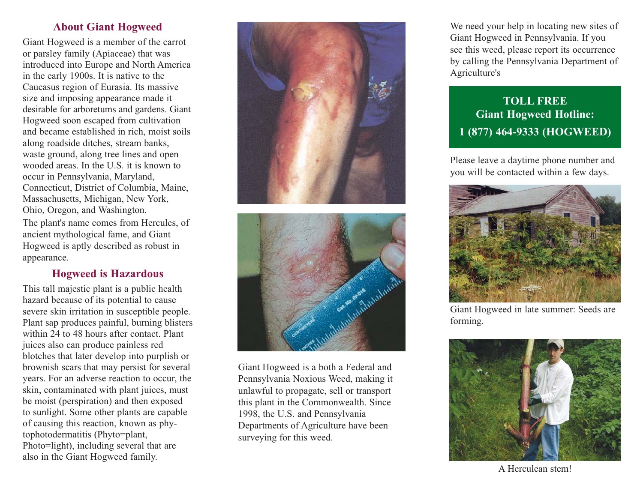# **About Giant Hogweed**

Giant Hogweed is a member of the carrot or parsley family (Apiaceae) that was introduced into Europe and North America in the early 1900s. It is native to the Caucasus region of Eurasia. Its massive size and imposing appearance made it desirable for arboretums and gardens. Giant Hogweed soon escaped from cultivation and became established in rich, moist soils along roadside ditches, stream banks, waste ground, along tree lines and open wooded areas. In the U.S. it is known to occur in Pennsylvania, Maryland, Connecticut, District of Columbia, Maine, Massachusetts, Michigan, New York, Ohio, Oregon, and Washington. The plant's name comes from Hercules, of ancient mythological fame, and Giant Hogweed is aptly described as robust in appearance.

# **Hogweed is Hazardous**

This tall majestic plant is a public health hazard because of its potential to cause severe skin irritation in susceptible people. Plant sap produces painful, burning blisters within 24 to 48 hours after contact. Plant juices also can produce painless red blotches that later develop into purplish or brownish scars that may persist for several years. For an adverse reaction to occur, the skin, contaminated with plant juices, must be moist (perspiration) and then exposed to sunlight. Some other plants are capable of causing this reaction, known as phytophotodermatitis (Phyto=plant, Photo=light), including several that are also in the Giant Hogweed family.





Giant Hogweed is a both a Federal and Pennsylvania Noxious Weed, making it unlawful to propagate, sell or transport this plant in the Commonwealth. Since 1998, the U.S. and Pennsylvania Departments of Agriculture have been surveying for this weed.

We need your help in locating new sites of Giant Hogweed in Pennsylvania. If you see this weed, please report its occurrence by calling the Pennsylvania Department of Agriculture's

# **TOLL FREE Giant Hogweed Hotline: 1 (877) 464-9333 (HOGWEED)**

Please leave a daytime phone number and you will be contacted within a few days.



Giant Hogweed in late summer: Seeds are forming.



A Herculean stem!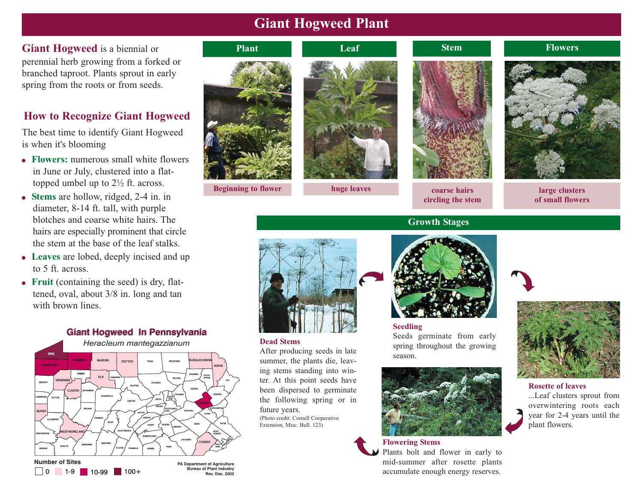# **Giant Hogweed Plant**

**Giant Hogweed** is a biennial or perennial herb growing from a forked or branched taproot. Plants sprout in early spring from the roots or from seeds.

# **How to Recognize Giant Hogweed**

The best time to identify Giant Hogweed is when it's blooming

- **Flowers:** numerous small white flowers in June or July, clustered into a flattopped umbel up to 2½ ft. across.
- **Stems** are hollow, ridged, 2-4 in. in diameter, 8-14 ft. tall, with purple blotches and coarse white hairs. The hairs are especially prominent that circle the stem at the base of the leaf stalks.
- **Leaves** are lobed, deeply incised and up to 5 ft. across.
- **Fruit** (containing the seed) is dry, flattened, oval, about 3/8 in. long and tan with brown lines.



**Bureau of Plant Industry 1-9** 10-99 100+ **Bureau of Plant Industry** 



**Beginning to flower huge leaves coarse hairs** 





**circling the stem**

**Leaf Stem Flowers** 



**large clusters of small flowers**





## **Dead Stems**

After producing seeds in late summer, the plants die, leaving stems standing into winter. At this point seeds have been dispersed to germinate the following spring or in future years.

(Photo credit: Cornell Cooperative Extension, Misc. Bull. 123)



**Seedling** Seeds germinate from early spring throughout the growing season.



# **Flowering Stems**

Plants bolt and flower in early to mid-summer after rosette plants accumulate enough energy reserves.



**Rosette of leaves**

...Leaf clusters sprout from overwintering roots each year for 2-4 years until the plant flowers.